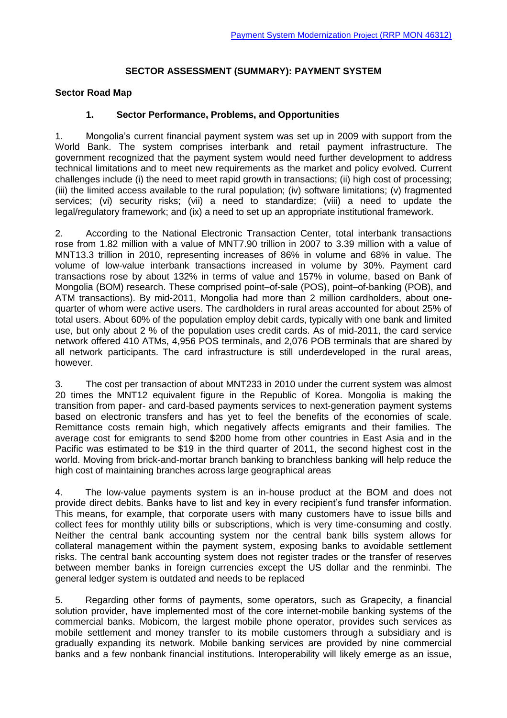#### **SECTOR ASSESSMENT (SUMMARY): PAYMENT SYSTEM**

#### **Sector Road Map**

#### **1. Sector Performance, Problems, and Opportunities**

1. Mongolia's current financial payment system was set up in 2009 with support from the World Bank. The system comprises interbank and retail payment infrastructure. The government recognized that the payment system would need further development to address technical limitations and to meet new requirements as the market and policy evolved. Current challenges include (i) the need to meet rapid growth in transactions; (ii) high cost of processing; (iii) the limited access available to the rural population; (iv) software limitations; (v) fragmented services; (vi) security risks; (vii) a need to standardize; (viii) a need to update the legal/regulatory framework; and (ix) a need to set up an appropriate institutional framework.

2. According to the National Electronic Transaction Center, total interbank transactions rose from 1.82 million with a value of MNT7.90 trillion in 2007 to 3.39 million with a value of MNT13.3 trillion in 2010, representing increases of 86% in volume and 68% in value. The volume of low-value interbank transactions increased in volume by 30%. Payment card transactions rose by about 132% in terms of value and 157% in volume, based on Bank of Mongolia (BOM) research. These comprised point–of-sale (POS), point–of-banking (POB), and ATM transactions). By mid-2011, Mongolia had more than 2 million cardholders, about onequarter of whom were active users. The cardholders in rural areas accounted for about 25% of total users. About 60% of the population employ debit cards, typically with one bank and limited use, but only about 2 % of the population uses credit cards. As of mid-2011, the card service network offered 410 ATMs, 4,956 POS terminals, and 2,076 POB terminals that are shared by all network participants. The card infrastructure is still underdeveloped in the rural areas, however.

3. The cost per transaction of about MNT233 in 2010 under the current system was almost 20 times the MNT12 equivalent figure in the Republic of Korea. Mongolia is making the transition from paper- and card-based payments services to next-generation payment systems based on electronic transfers and has yet to feel the benefits of the economies of scale. Remittance costs remain high, which negatively affects emigrants and their families. The average cost for emigrants to send \$200 home from other countries in East Asia and in the Pacific was estimated to be \$19 in the third quarter of 2011, the second highest cost in the world. Moving from brick-and-mortar branch banking to branchless banking will help reduce the high cost of maintaining branches across large geographical areas

4. The low-value payments system is an in-house product at the BOM and does not provide direct debits. Banks have to list and key in every recipient's fund transfer information. This means, for example, that corporate users with many customers have to issue bills and collect fees for monthly utility bills or subscriptions, which is very time-consuming and costly. Neither the central bank accounting system nor the central bank bills system allows for collateral management within the payment system, exposing banks to avoidable settlement risks. The central bank accounting system does not register trades or the transfer of reserves between member banks in foreign currencies except the US dollar and the renminbi. The general ledger system is outdated and needs to be replaced

5. Regarding other forms of payments, some operators, such as Grapecity, a financial solution provider, have implemented most of the core internet-mobile banking systems of the commercial banks. Mobicom, the largest mobile phone operator, provides such services as mobile settlement and money transfer to its mobile customers through a subsidiary and is gradually expanding its network. Mobile banking services are provided by nine commercial banks and a few nonbank financial institutions. Interoperability will likely emerge as an issue,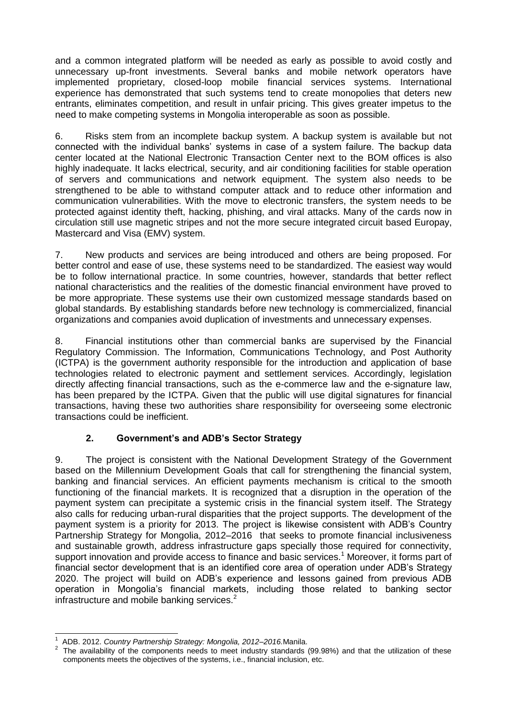and a common integrated platform will be needed as early as possible to avoid costly and unnecessary up-front investments. Several banks and mobile network operators have implemented proprietary, closed-loop mobile financial services systems. International experience has demonstrated that such systems tend to create monopolies that deters new entrants, eliminates competition, and result in unfair pricing. This gives greater impetus to the need to make competing systems in Mongolia interoperable as soon as possible.

6. Risks stem from an incomplete backup system. A backup system is available but not connected with the individual banks' systems in case of a system failure. The backup data center located at the National Electronic Transaction Center next to the BOM offices is also highly inadequate. It lacks electrical, security, and air conditioning facilities for stable operation of servers and communications and network equipment. The system also needs to be strengthened to be able to withstand computer attack and to reduce other information and communication vulnerabilities. With the move to electronic transfers, the system needs to be protected against identity theft, hacking, phishing, and viral attacks. Many of the cards now in circulation still use magnetic stripes and not the more secure integrated circuit based Europay, Mastercard and Visa (EMV) system.

7. New products and services are being introduced and others are being proposed. For better control and ease of use, these systems need to be standardized. The easiest way would be to follow international practice. In some countries, however, standards that better reflect national characteristics and the realities of the domestic financial environment have proved to be more appropriate. These systems use their own customized message standards based on global standards. By establishing standards before new technology is commercialized, financial organizations and companies avoid duplication of investments and unnecessary expenses.

8. Financial institutions other than commercial banks are supervised by the Financial Regulatory Commission. The Information, Communications Technology, and Post Authority (ICTPA) is the government authority responsible for the introduction and application of base technologies related to electronic payment and settlement services. Accordingly, legislation directly affecting financial transactions, such as the e-commerce law and the e-signature law, has been prepared by the ICTPA. Given that the public will use digital signatures for financial transactions, having these two authorities share responsibility for overseeing some electronic transactions could be inefficient.

## **2. Government's and ADB's Sector Strategy**

9. The project is consistent with the National Development Strategy of the Government based on the Millennium Development Goals that call for strengthening the financial system, banking and financial services. An efficient payments mechanism is critical to the smooth functioning of the financial markets. It is recognized that a disruption in the operation of the payment system can precipitate a systemic crisis in the financial system itself. The Strategy also calls for reducing urban-rural disparities that the project supports. The development of the payment system is a priority for 2013. The project is likewise consistent with ADB's Country Partnership Strategy for Mongolia, 2012–2016 that seeks to promote financial inclusiveness and sustainable growth, address infrastructure gaps specially those required for connectivity, support innovation and provide access to finance and basic services.<sup>1</sup> Moreover, it forms part of financial sector development that is an identified core area of operation under ADB's Strategy 2020. The project will build on ADB's experience and lessons gained from previous ADB operation in Mongolia's financial markets, including those related to banking sector infrastructure and mobile banking services. $2^2$ 

 $\overline{\phantom{a}}$ 1 ADB. 2012. *Country Partnership Strategy: Mongolia, 2012–2016.*Manila.

 $2$  The availability of the components needs to meet industry standards (99.98%) and that the utilization of these components meets the objectives of the systems, i.e., financial inclusion, etc.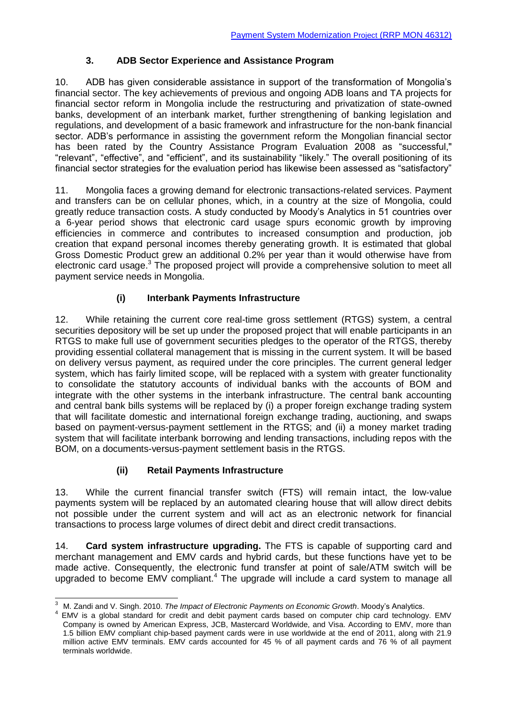### **3. ADB Sector Experience and Assistance Program**

10. ADB has given considerable assistance in support of the transformation of Mongolia's financial sector. The key achievements of previous and ongoing ADB loans and TA projects for financial sector reform in Mongolia include the restructuring and privatization of state-owned banks, development of an interbank market, further strengthening of banking legislation and regulations, and development of a basic framework and infrastructure for the non-bank financial sector. ADB's performance in assisting the government reform the Mongolian financial sector has been rated by the Country Assistance Program Evaluation 2008 as "successful," "relevant", "effective", and "efficient", and its sustainability "likely." The overall positioning of its financial sector strategies for the evaluation period has likewise been assessed as "satisfactory"

11. Mongolia faces a growing demand for electronic transactions-related services. Payment and transfers can be on cellular phones, which, in a country at the size of Mongolia, could greatly reduce transaction costs. A study conducted by Moody's Analytics in 51 countries over a 6-year period shows that electronic card usage spurs economic growth by improving efficiencies in commerce and contributes to increased consumption and production, job creation that expand personal incomes thereby generating growth. It is estimated that global Gross Domestic Product grew an additional 0.2% per year than it would otherwise have from electronic card usage.<sup>3</sup> The proposed project will provide a comprehensive solution to meet all payment service needs in Mongolia.

## **(i) Interbank Payments Infrastructure**

12. While retaining the current core real-time gross settlement (RTGS) system, a central securities depository will be set up under the proposed project that will enable participants in an RTGS to make full use of government securities pledges to the operator of the RTGS, thereby providing essential collateral management that is missing in the current system. It will be based on delivery versus payment, as required under the core principles. The current general ledger system, which has fairly limited scope, will be replaced with a system with greater functionality to consolidate the statutory accounts of individual banks with the accounts of BOM and integrate with the other systems in the interbank infrastructure. The central bank accounting and central bank bills systems will be replaced by (i) a proper foreign exchange trading system that will facilitate domestic and international foreign exchange trading, auctioning, and swaps based on payment-versus-payment settlement in the RTGS; and (ii) a money market trading system that will facilitate interbank borrowing and lending transactions, including repos with the BOM, on a documents-versus-payment settlement basis in the RTGS.

## **(ii) Retail Payments Infrastructure**

13. While the current financial transfer switch (FTS) will remain intact, the low-value payments system will be replaced by an automated clearing house that will allow direct debits not possible under the current system and will act as an electronic network for financial transactions to process large volumes of direct debit and direct credit transactions.

14. **Card system infrastructure upgrading.** The FTS is capable of supporting card and merchant management and EMV cards and hybrid cards, but these functions have yet to be made active. Consequently, the electronic fund transfer at point of sale/ATM switch will be upgraded to become EMV compliant.<sup>4</sup> The upgrade will include a card system to manage all

 $\overline{3}$ <sup>3</sup> M. Zandi and V. Singh. 2010. *The Impact of Electronic Payments on Economic Growth*. Moody's Analytics.

<sup>4</sup> EMV is a global standard for credit and debit payment cards based on computer chip card technology. EMV Company is owned by American Express, JCB, Mastercard Worldwide, and Visa. According to EMV, more than 1.5 billion EMV compliant chip-based payment cards were in use worldwide at the end of 2011, along with 21.9 million active EMV terminals. EMV cards accounted for 45 % of all payment cards and 76 % of all payment terminals worldwide.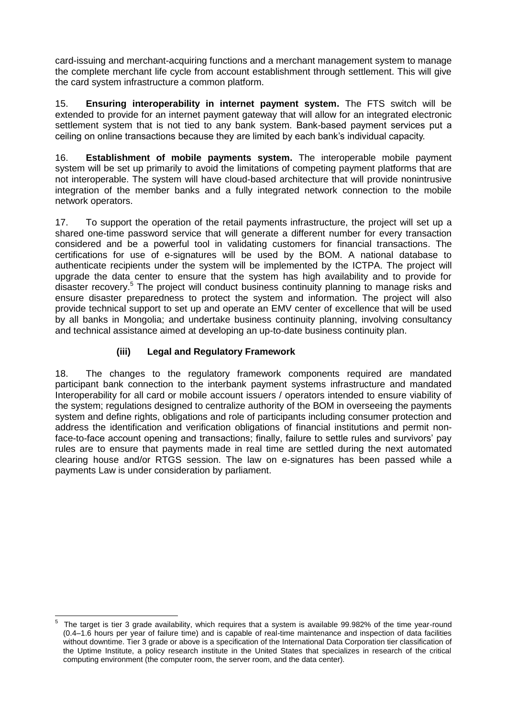card-issuing and merchant-acquiring functions and a merchant management system to manage the complete merchant life cycle from account establishment through settlement. This will give the card system infrastructure a common platform.

15. **Ensuring interoperability in internet payment system.** The FTS switch will be extended to provide for an internet payment gateway that will allow for an integrated electronic settlement system that is not tied to any bank system. Bank-based payment services put a ceiling on online transactions because they are limited by each bank's individual capacity.

16. **Establishment of mobile payments system.** The interoperable mobile payment system will be set up primarily to avoid the limitations of competing payment platforms that are not interoperable. The system will have cloud-based architecture that will provide nonintrusive integration of the member banks and a fully integrated network connection to the mobile network operators.

17. To support the operation of the retail payments infrastructure, the project will set up a shared one-time password service that will generate a different number for every transaction considered and be a powerful tool in validating customers for financial transactions. The certifications for use of e-signatures will be used by the BOM. A national database to authenticate recipients under the system will be implemented by the ICTPA. The project will upgrade the data center to ensure that the system has high availability and to provide for disaster recovery.<sup>5</sup> The project will conduct business continuity planning to manage risks and ensure disaster preparedness to protect the system and information. The project will also provide technical support to set up and operate an EMV center of excellence that will be used by all banks in Mongolia; and undertake business continuity planning, involving consultancy and technical assistance aimed at developing an up-to-date business continuity plan.

## **(iii) Legal and Regulatory Framework**

18. The changes to the regulatory framework components required are mandated participant bank connection to the interbank payment systems infrastructure and mandated Interoperability for all card or mobile account issuers / operators intended to ensure viability of the system; regulations designed to centralize authority of the BOM in overseeing the payments system and define rights, obligations and role of participants including consumer protection and address the identification and verification obligations of financial institutions and permit nonface-to-face account opening and transactions; finally, failure to settle rules and survivors' pay rules are to ensure that payments made in real time are settled during the next automated clearing house and/or RTGS session. The law on e-signatures has been passed while a payments Law is under consideration by parliament.

 5 The target is tier 3 grade availability, which requires that a system is available 99.982% of the time year-round (0.4–1.6 hours per year of failure time) and is capable of real-time maintenance and inspection of data facilities without downtime. Tier 3 grade or above is a specification of the International Data Corporation tier classification of the Uptime Institute, a policy research institute in the United States that specializes in research of the critical computing environment (the computer room, the server room, and the data center).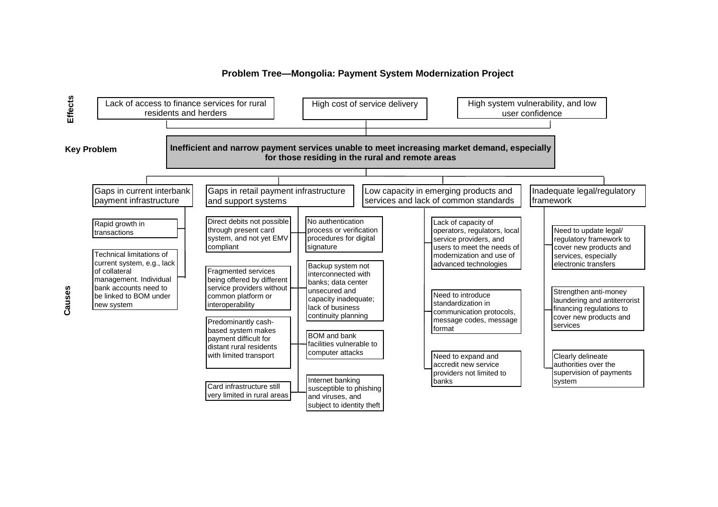#### **Problem Tree—Mongolia: Payment System Modernization Project**



**Causes**